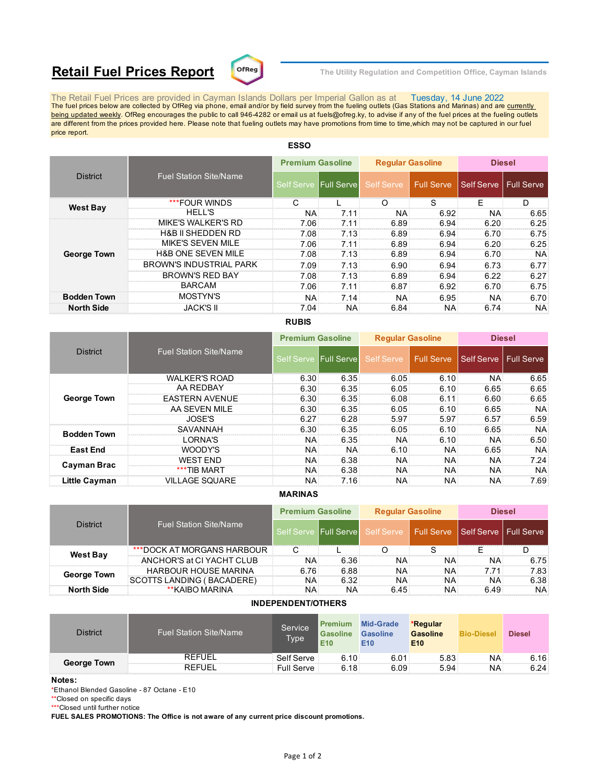# **Retail Fuel Prices Report**  $\text{C}^{\text{DFReg}}$  The Utility Regulation and Competition Office, Cayman Islands



The Retail Fuel Prices are provided in Cayman Islands Dollars per Imperial Gallon as at Tuesday, 14 June 2022<br>The fuel prices below are collected by OfReg via phone, email and/or by field survey from the fueling outlets ( being updated weekly. OfReg encourages the public to call 946-4282 or email us at fuels@ofreg.ky, to advise if any of the fuel prices at the fueling outlets are different from the prices provided here. Please note that fueling outlets may have promotions from time to time,which may not be captured in our fuel price report.

| <b>District</b>    |                                | <b>Premium Gasoline</b> |                       | <b>Regular Gasoline</b> |      | <b>Diesel</b>           |      |
|--------------------|--------------------------------|-------------------------|-----------------------|-------------------------|------|-------------------------|------|
|                    | <b>Fuel Station Site/Name</b>  |                         | Self Serve Full Serve | Self Serve Full Serve   |      | Self Serve   Full Serve |      |
|                    | ***FOUR WINDS                  |                         |                       | וז                      | S    | F                       | D    |
| <b>West Bay</b>    | <b>HELL'S</b>                  | <b>NA</b>               | 7.11                  | NA:                     | 6.92 | <b>NA</b>               | 6.65 |
|                    | <b>MIKE'S WALKER'S RD</b>      | 7.06                    | 7.11                  | 6.89                    | 6.94 | 6.20                    | 6.25 |
|                    | <b>H&amp;B II SHEDDEN RD</b>   | 7.08                    | 7.13                  | 6.89                    | 6.94 | 6.70                    | 6.75 |
|                    | MIKE'S SEVEN MILE              | 7.06                    | 7.11                  | 6.89                    | 6.94 | 6.20                    | 6.25 |
| <b>George Town</b> | <b>H&amp;B ONE SEVEN MILE</b>  | 7.08                    | 7.13                  | 6.89                    | 6.94 | 6.70                    | NA.  |
|                    | <b>BROWN'S INDUSTRIAL PARK</b> | 7.09                    | 7.13                  | 6.90                    | 6.94 | 6.73                    | 6.77 |
|                    | <b>BROWN'S RED BAY</b>         | 7.08                    | 7.13                  | 6.89                    | 6.94 | 6.22                    | 6.27 |
|                    | <b>BARCAM</b>                  | 7.06                    | 7.11                  | 6.87                    | 6.92 | 6.70                    | 6.75 |
| <b>Bodden Town</b> | <b>MOSTYN'S</b>                | <b>NA</b>               | 7.14                  | NA:                     | 6.95 | <b>NA</b>               | 6.70 |
| <b>North Side</b>  | <b>JACK'S II</b>               | 7.04                    | NA.                   | 6.84                    | NA:  | 6.74                    | NA.  |
|                    |                                |                         |                       |                         |      |                         |      |

# **ESSO**

## **RUBIS**

|                      |                               | <b>Premium Gasoline</b> |           | <b>Reqular Gasoline</b> |                | <b>Diesel</b>           |           |
|----------------------|-------------------------------|-------------------------|-----------|-------------------------|----------------|-------------------------|-----------|
| <b>District</b>      | <b>Fuel Station Site/Name</b> | Self Serve Full Serve   |           | <b>Self Serve</b>       | Full Serve     | Self Serve   Full Serve |           |
|                      | <b>WALKER'S ROAD</b>          | 6.30                    | 6.35      | 6.05                    | 6.10           | <b>NA</b>               | 6.65      |
|                      | AA REDBAY                     | 6.30                    | 6.35      | 6.05                    | 6.10           | 6.65                    | 6.65      |
| <b>George Town</b>   | <b>EASTERN AVENUE</b>         | 6.30                    | 6.35      | 6.08                    | 6.11           | 6.60                    | 6.65      |
|                      | AA SEVEN MILE                 | 6.30                    | 6.35      | 6.05                    | $6.10^{\circ}$ | 6.65                    | <b>NA</b> |
|                      | JOSE'S                        | 6.27                    | 6.28      | 5.97                    | 5.97           | 6.57                    | 6.59      |
| <b>Bodden Town</b>   | SAVANNAH                      | 6.30                    | 6.35      | 6.05                    | 6.10           | 6.65                    | NA.       |
|                      | ORNA'S                        | <b>NA</b>               | 6.35      | NA.                     | 6.10           | NA.                     | 6.50      |
| <b>East End</b>      | WOODY'S                       | <b>NA</b>               | <b>NA</b> | 6.10                    | NA:            | 6.65                    | NA.       |
| Cayman Brac          | <b>WEST FND</b>               | <b>NA</b>               | 6.38      | <b>NA</b>               | NA             | NA.                     | 7.24      |
|                      | ***TIB MART                   | <b>NA</b>               | 6.38      | <b>NA</b>               | <b>NA</b>      | NA.                     | NA.       |
| <b>Little Cayman</b> | <b>VILLAGE SQUARE</b>         | NA                      | 7.16      | <b>NA</b>               | NA.            | NA.                     | 7.69      |

### **MARINAS**

| <b>District</b>    |                               | <b>Premium Gasoline</b> |      | <b>Reqular Gasoline</b>                                           |     | <b>Diesel</b> |           |
|--------------------|-------------------------------|-------------------------|------|-------------------------------------------------------------------|-----|---------------|-----------|
|                    | <b>Fuel Station Site/Name</b> |                         |      | Self Serve Full Serve Self Serve Full Serve Self Serve Full Serve |     |               |           |
| <b>West Bay</b>    | ***DOCK AT MORGANS HARBOUR    |                         |      |                                                                   |     |               |           |
|                    | ANCHOR'S at CI YACHT CLUB     | ΝA                      | 6.36 | NA.                                                               | NA: | NA            | 6.75      |
| <b>George Town</b> | <b>HARBOUR HOUSE MARINA</b>   | 6.76                    | 6.88 | NA.                                                               | NA: | 7.71          | 7.83      |
|                    | SCOTTS LANDING (BACADERE)     | <b>NA</b>               | 6.32 | <b>NA</b>                                                         | NA: | NA.           | 6.38      |
| <b>North Side</b>  | **KAIBO MARINA                | ΝA                      | ΝA   | 6.45                                                              | NA: | 6.49          | <b>NA</b> |

### **INDEPENDENT/OTHERS**

| <b>District</b>    | <b>Fuel Station Site/Name</b> | Premium<br>Service<br><b>Gasoline</b><br>Type<br>E <sub>10</sub> |      | <b>Mid-Grade</b><br><b>Gasoline</b><br>E10 | *Regular<br><b>Gasoline</b><br>E <sub>10</sub> | <b>Bio-Diesel</b> | <b>Diesel</b> |
|--------------------|-------------------------------|------------------------------------------------------------------|------|--------------------------------------------|------------------------------------------------|-------------------|---------------|
| <b>George Town</b> | <b>REFUEL</b>                 | Self Serve                                                       | 6.10 | 6.01                                       | 5.83                                           | <b>NA</b>         | 6.16          |
|                    | <b>REFUEL</b>                 | <b>Full Serve</b>                                                | 6.18 | 6.09                                       | 5.94                                           | ΝA                | 6.24          |

#### **Notes:**

\*Ethanol Blended Gasoline - 87 Octane - E10

\*\*Closed on specific days

\*\*\*Closed until further notice

**FUEL SALES PROMOTIONS: The Office is not aware of any current price discount promotions.**